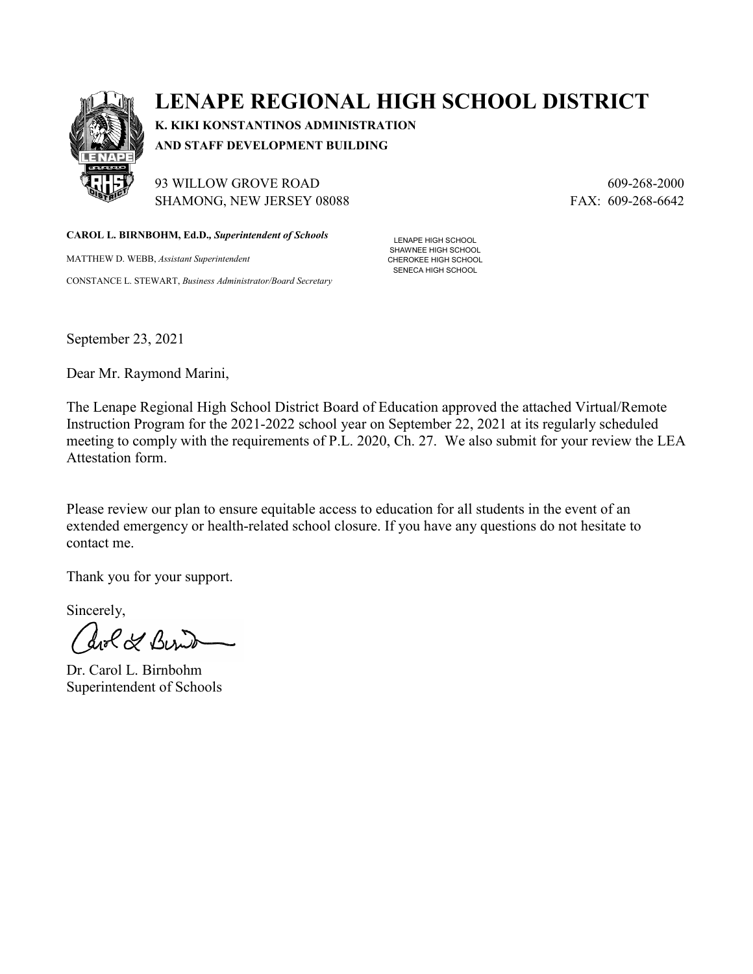

## **LENAPE REGIONAL HIGH SCHOOL DISTRICT**

**K. KIKI KONSTANTINOS ADMINISTRATION AND STAFF DEVELOPMENT BUILDING**

93 WILLOW GROVE ROAD 609-268-2000 SHAMONG, NEW JERSEY 08088 FAX: 609-268-6642

**CAROL L. BIRNBOHM, Ed.D.***, Superintendent of Schools*

MATTHEW D. WEBB, *Assistant Superintendent* CONSTANCE L. STEWART, *Business Administrator/Board Secretary*

LENAPE HIGH SCHOOL SHAWNEE HIGH SCHOOL CHEROKEE HIGH SCHOOL SENECA HIGH SCHOOL

September 23, 2021

Dear Mr. Raymond Marini,

The Lenape Regional High School District Board of Education approved the attached Virtual/Remote Instruction Program for the 2021-2022 school year on September 22, 2021 at its regularly scheduled meeting to comply with the requirements of P.L. 2020, Ch. 27. We also submit for your review the LEA Attestation form.

Please review our plan to ensure equitable access to education for all students in the event of an extended emergency or health-related school closure. If you have any questions do not hesitate to contact me.

Thank you for your support.

Sincerely,

ave & Berit

Dr. Carol L. Birnbohm Superintendent of Schools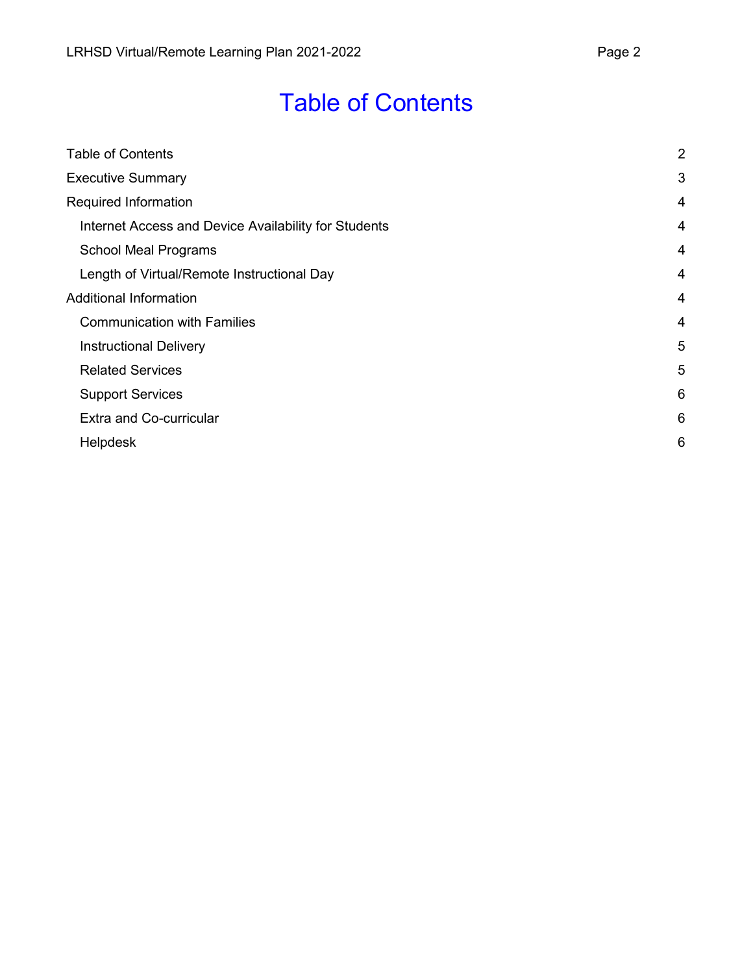# Table of Contents

<span id="page-1-0"></span>

| <b>Table of Contents</b>                             | $\overline{2}$ |
|------------------------------------------------------|----------------|
| <b>Executive Summary</b>                             | 3              |
| Required Information                                 | $\overline{4}$ |
| Internet Access and Device Availability for Students | $\overline{4}$ |
| <b>School Meal Programs</b>                          | 4              |
| Length of Virtual/Remote Instructional Day           | 4              |
| <b>Additional Information</b>                        | 4              |
| <b>Communication with Families</b>                   | 4              |
| <b>Instructional Delivery</b>                        | 5              |
| <b>Related Services</b>                              | 5              |
| <b>Support Services</b>                              | 6              |
| <b>Extra and Co-curricular</b>                       | 6              |
| <b>Helpdesk</b>                                      | 6              |
|                                                      |                |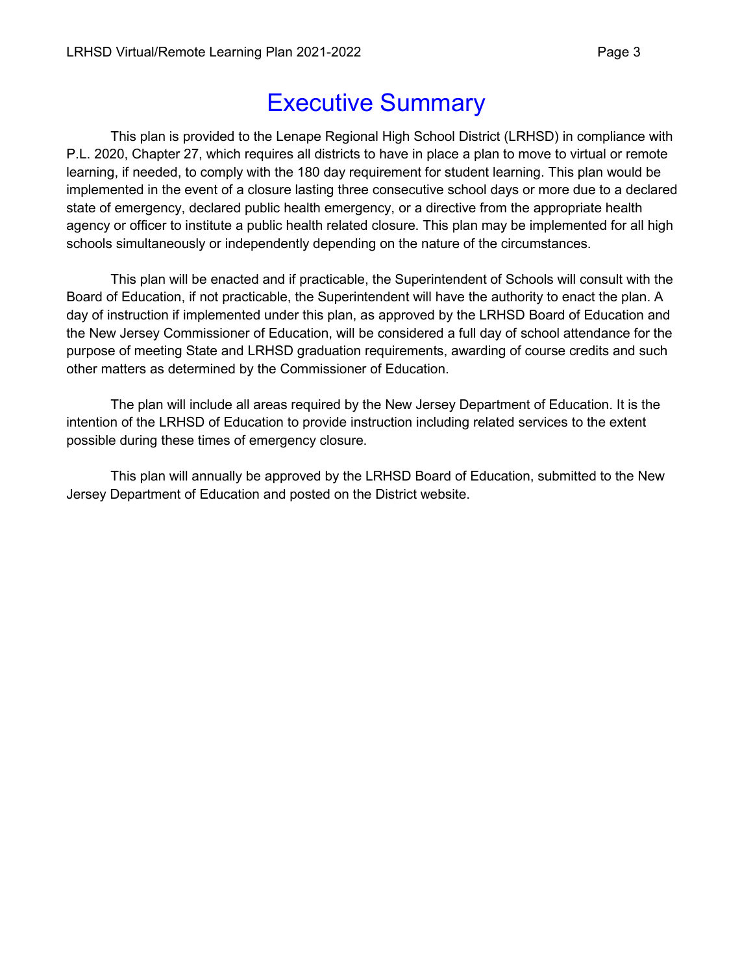# Executive Summary

<span id="page-2-0"></span>This plan is provided to the Lenape Regional High School District (LRHSD) in compliance with P.L. 2020, Chapter 27, which requires all districts to have in place a plan to move to virtual or remote learning, if needed, to comply with the 180 day requirement for student learning. This plan would be implemented in the event of a closure lasting three consecutive school days or more due to a declared state of emergency, declared public health emergency, or a directive from the appropriate health agency or officer to institute a public health related closure. This plan may be implemented for all high schools simultaneously or independently depending on the nature of the circumstances.

This plan will be enacted and if practicable, the Superintendent of Schools will consult with the Board of Education, if not practicable, the Superintendent will have the authority to enact the plan. A day of instruction if implemented under this plan, as approved by the LRHSD Board of Education and the New Jersey Commissioner of Education, will be considered a full day of school attendance for the purpose of meeting State and LRHSD graduation requirements, awarding of course credits and such other matters as determined by the Commissioner of Education.

The plan will include all areas required by the New Jersey Department of Education. It is the intention of the LRHSD of Education to provide instruction including related services to the extent possible during these times of emergency closure.

This plan will annually be approved by the LRHSD Board of Education, submitted to the New Jersey Department of Education and posted on the District website.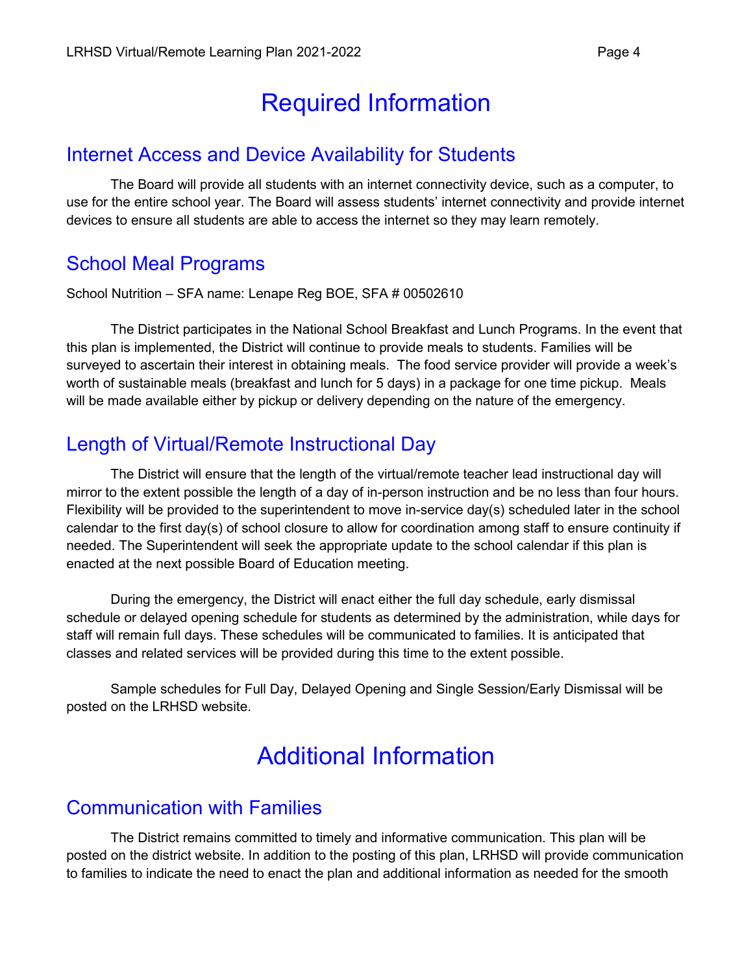## Required Information

#### <span id="page-3-1"></span><span id="page-3-0"></span>Internet Access and Device Availability for Students

The Board will provide all students with an internet connectivity device, such as a computer, to use for the entire school year. The Board will assess students' internet connectivity and provide internet devices to ensure all students are able to access the internet so they may learn remotely.

### <span id="page-3-2"></span>School Meal Programs

School Nutrition – SFA name: Lenape Reg BOE, SFA # 00502610

The District participates in the National School Breakfast and Lunch Programs. In the event that this plan is implemented, the District will continue to provide meals to students. Families will be surveyed to ascertain their interest in obtaining meals. The food service provider will provide a week's worth of sustainable meals (breakfast and lunch for 5 days) in a package for one time pickup. Meals will be made available either by pickup or delivery depending on the nature of the emergency.

### <span id="page-3-3"></span>Length of Virtual/Remote Instructional Day

The District will ensure that the length of the virtual/remote teacher lead instructional day will mirror to the extent possible the length of a day of in-person instruction and be no less than four hours. Flexibility will be provided to the superintendent to move in-service day(s) scheduled later in the school calendar to the first day(s) of school closure to allow for coordination among staff to ensure continuity if needed. The Superintendent will seek the appropriate update to the school calendar if this plan is enacted at the next possible Board of Education meeting.

During the emergency, the District will enact either the full day schedule, early dismissal schedule or delayed opening schedule for students as determined by the administration, while days for staff will remain full days. These schedules will be communicated to families. It is anticipated that classes and related services will be provided during this time to the extent possible.

<span id="page-3-4"></span>Sample schedules for Full Day, Delayed Opening and Single Session/Early Dismissal will be posted on the LRHSD website.

# Additional Information

#### <span id="page-3-5"></span>Communication with Families

The District remains committed to timely and informative communication. This plan will be posted on the district website. In addition to the posting of this plan, LRHSD will provide communication to families to indicate the need to enact the plan and additional information as needed for the smooth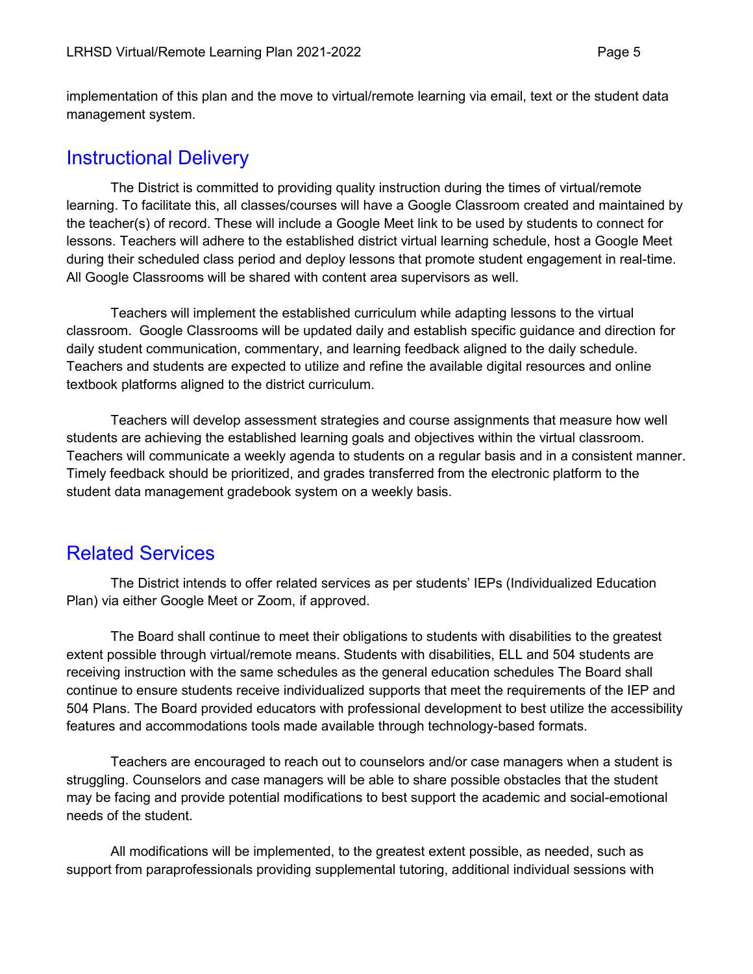implementation of this plan and the move to virtual/remote learning via email, text or the student data management system.

#### <span id="page-4-0"></span>Instructional Delivery

The District is committed to providing quality instruction during the times of virtual/remote learning. To facilitate this, all classes/courses will have a Google Classroom created and maintained by the teacher(s) of record. These will include a Google Meet link to be used by students to connect for lessons. Teachers will adhere to the established district virtual learning schedule, host a Google Meet during their scheduled class period and deploy lessons that promote student engagement in real-time. All Google Classrooms will be shared with content area supervisors as well.

Teachers will implement the established curriculum while adapting lessons to the virtual classroom. Google Classrooms will be updated daily and establish specific guidance and direction for daily student communication, commentary, and learning feedback aligned to the daily schedule. Teachers and students are expected to utilize and refine the available digital resources and online textbook platforms aligned to the district curriculum.

Teachers will develop assessment strategies and course assignments that measure how well students are achieving the established learning goals and objectives within the virtual classroom. Teachers will communicate a weekly agenda to students on a regular basis and in a consistent manner. Timely feedback should be prioritized, and grades transferred from the electronic platform to the student data management gradebook system on a weekly basis.

### <span id="page-4-1"></span>Related Services

The District intends to offer related services as per students' IEPs (Individualized Education Plan) via either Google Meet or Zoom, if approved.

The Board shall continue to meet their obligations to students with disabilities to the greatest extent possible through virtual/remote means. Students with disabilities, ELL and 504 students are receiving instruction with the same schedules as the general education schedules The Board shall continue to ensure students receive individualized supports that meet the requirements of the IEP and 504 Plans. The Board provided educators with professional development to best utilize the accessibility features and accommodations tools made available through technology-based formats.

Teachers are encouraged to reach out to counselors and/or case managers when a student is struggling. Counselors and case managers will be able to share possible obstacles that the student may be facing and provide potential modifications to best support the academic and social-emotional needs of the student.

All modifications will be implemented, to the greatest extent possible, as needed, such as support from paraprofessionals providing supplemental tutoring, additional individual sessions with